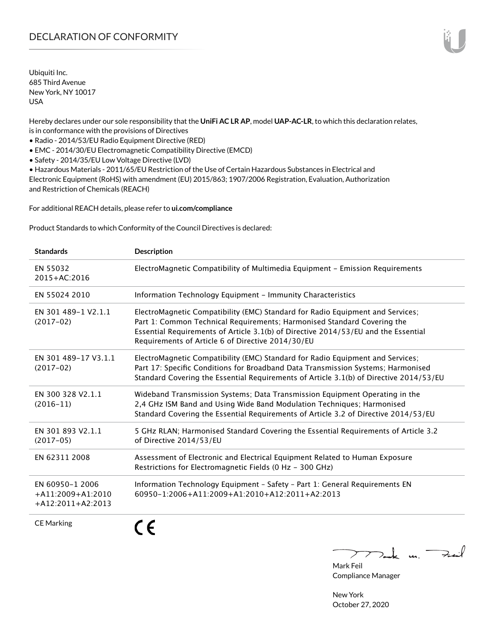Ubiquiti Inc. 685 Third Avenue New York, NY 10017 USA

Hereby declares under our sole responsibility that the **UniFi AC LR AP**, model **UAP-AC-LR**, to which this declaration relates, is in conformance with the provisions of Directives

• Radio - 2014/53/EU Radio Equipment Directive (RED)

• EMC - 2014/30/EU Electromagnetic Compatibility Directive (EMCD)

• Safety - 2014/35/EU Low Voltage Directive (LVD)

• Hazardous Materials - 2011/65/EU Restriction of the Use of Certain Hazardous Substances in Electrical and Electronic Equipment (RoHS) with amendment (EU) 2015/863; 1907/2006 Registration, Evaluation, Authorization and Restriction of Chemicals (REACH)

For additional REACH details, please refer to **[ui.com/compliance](http://ui.com/compliance )**

Product Standards to which Conformity of the Council Directives is declared:

| <b>Standards</b>                                              | <b>Description</b>                                                                                                                                                                                                                                                                                   |
|---------------------------------------------------------------|------------------------------------------------------------------------------------------------------------------------------------------------------------------------------------------------------------------------------------------------------------------------------------------------------|
| EN 55032<br>2015+AC:2016                                      | ElectroMagnetic Compatibility of Multimedia Equipment - Emission Requirements                                                                                                                                                                                                                        |
| EN 55024 2010                                                 | Information Technology Equipment - Immunity Characteristics                                                                                                                                                                                                                                          |
| EN 301 489-1 V2.1.1<br>$(2017-02)$                            | ElectroMagnetic Compatibility (EMC) Standard for Radio Equipment and Services;<br>Part 1: Common Technical Requirements; Harmonised Standard Covering the<br>Essential Requirements of Article 3.1(b) of Directive 2014/53/EU and the Essential<br>Requirements of Article 6 of Directive 2014/30/EU |
| EN 301 489-17 V3.1.1<br>$(2017-02)$                           | ElectroMagnetic Compatibility (EMC) Standard for Radio Equipment and Services;<br>Part 17: Specific Conditions for Broadband Data Transmission Systems; Harmonised<br>Standard Covering the Essential Requirements of Article 3.1(b) of Directive 2014/53/EU                                         |
| EN 300 328 V2.1.1<br>$(2016 - 11)$                            | Wideband Transmission Systems; Data Transmission Equipment Operating in the<br>2,4 GHz ISM Band and Using Wide Band Modulation Techniques; Harmonised<br>Standard Covering the Essential Requirements of Article 3.2 of Directive 2014/53/EU                                                         |
| EN 301 893 V2.1.1<br>$(2017-05)$                              | 5 GHz RLAN; Harmonised Standard Covering the Essential Requirements of Article 3.2<br>of Directive 2014/53/EU                                                                                                                                                                                        |
| EN 62311 2008                                                 | Assessment of Electronic and Electrical Equipment Related to Human Exposure<br>Restrictions for Electromagnetic Fields (0 Hz - 300 GHz)                                                                                                                                                              |
| EN 60950-1 2006<br>$+A11:2009+A1:2010$<br>$+A12:2011+A2:2013$ | Information Technology Equipment - Safety - Part 1: General Requirements EN<br>60950-1:2006+A11:2009+A1:2010+A12:2011+A2:2013                                                                                                                                                                        |
| <b>CE Marking</b>                                             |                                                                                                                                                                                                                                                                                                      |

 $\nabla_{\mathbf{m}}$  u. Ful

Mark Feil Compliance Manager

New York October 27, 2020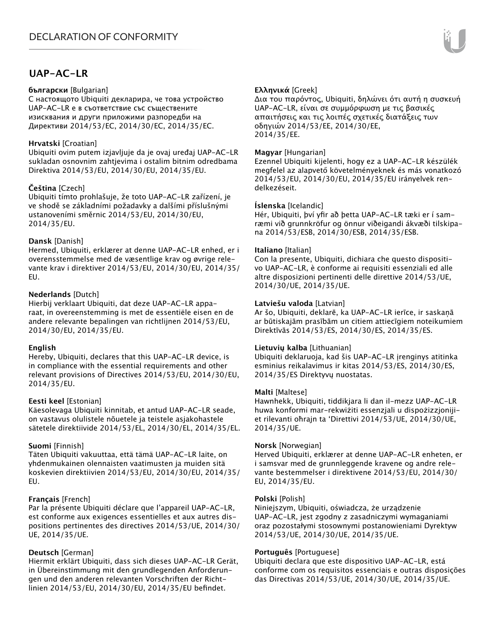# **UAP-AC-LR**

#### **български** [Bulgarian]

С настоящото Ubiquiti декларира, че това устройство UAP-AC-LR е в съответствие със съществените изисквания и други приложими разпоредби на Директиви 2014/53/EC, 2014/30/ЕС, 2014/35/ЕС.

## **Hrvatski** [Croatian]

Ubiquiti ovim putem izjavljuje da je ovaj uređaj UAP-AC-LR sukladan osnovnim zahtjevima i ostalim bitnim odredbama Direktiva 2014/53/EU, 2014/30/EU, 2014/35/EU.

## **Čeština** [Czech]

Ubiquiti tímto prohlašuje, že toto UAP-AC-LR zařízení, je ve shodě se základními požadavky a dalšími příslušnými ustanoveními směrnic 2014/53/EU, 2014/30/EU, 2014/35/EU.

## **Dansk** [Danish]

Hermed, Ubiquiti, erklærer at denne UAP-AC-LR enhed, er i overensstemmelse med de væsentlige krav og øvrige relevante krav i direktiver 2014/53/EU, 2014/30/EU, 2014/35/ EU.

## **Nederlands** [Dutch]

Hierbij verklaart Ubiquiti, dat deze UAP-AC-LR apparaat, in overeenstemming is met de essentiële eisen en de andere relevante bepalingen van richtlijnen 2014/53/EU, 2014/30/EU, 2014/35/EU.

### **English**

Hereby, Ubiquiti, declares that this UAP-AC-LR device, is in compliance with the essential requirements and other relevant provisions of Directives 2014/53/EU, 2014/30/EU, 2014/35/EU.

### **Eesti keel** [Estonian]

Käesolevaga Ubiquiti kinnitab, et antud UAP-AC-LR seade, on vastavus olulistele nõuetele ja teistele asjakohastele sätetele direktiivide 2014/53/EL, 2014/30/EL, 2014/35/EL.

### **Suomi** [Finnish]

Täten Ubiquiti vakuuttaa, että tämä UAP-AC-LR laite, on yhdenmukainen olennaisten vaatimusten ja muiden sitä koskevien direktiivien 2014/53/EU, 2014/30/EU, 2014/35/ EU.

## **Français** [French]

Par la présente Ubiquiti déclare que l'appareil UAP-AC-LR, est conforme aux exigences essentielles et aux autres dispositions pertinentes des directives 2014/53/UE, 2014/30/ UE, 2014/35/UE.

## **Deutsch** [German]

Hiermit erklärt Ubiquiti, dass sich dieses UAP-AC-LR Gerät, in Übereinstimmung mit den grundlegenden Anforderungen und den anderen relevanten Vorschriften der Richtlinien 2014/53/EU, 2014/30/EU, 2014/35/EU befindet.

## **Ελληνικά** [Greek]

Δια του παρόντος, Ubiquiti, δηλώνει ότι αυτή η συσκευή UAP-AC-LR, είναι σε συμμόρφωση με τις βασικές απαιτήσεις και τις λοιπές σχετικές διατάξεις των οδηγιών 2014/53/EE, 2014/30/EE, 2014/35/EE.

### **Magyar** [Hungarian]

Ezennel Ubiquiti kijelenti, hogy ez a UAP-AC-LR készülék megfelel az alapvető követelményeknek és más vonatkozó 2014/53/EU, 2014/30/EU, 2014/35/EU irányelvek rendelkezéseit.

## **Íslenska** [Icelandic]

Hér, Ubiquiti, því yfir að þetta UAP-AC-LR tæki er í samræmi við grunnkröfur og önnur viðeigandi ákvæði tilskipana 2014/53/ESB, 2014/30/ESB, 2014/35/ESB.

### **Italiano** [Italian]

Con la presente, Ubiquiti, dichiara che questo dispositivo UAP-AC-LR, è conforme ai requisiti essenziali ed alle altre disposizioni pertinenti delle direttive 2014/53/UE, 2014/30/UE, 2014/35/UE.

### **Latviešu valoda** [Latvian]

Ar šo, Ubiquiti, deklarē, ka UAP-AC-LR ierīce, ir saskaņā ar būtiskajām prasībām un citiem attiecīgiem noteikumiem Direktīvās 2014/53/ES, 2014/30/ES, 2014/35/ES.

### **Lietuvių kalba** [Lithuanian]

Ubiquiti deklaruoja, kad šis UAP-AC-LR įrenginys atitinka esminius reikalavimus ir kitas 2014/53/ES, 2014/30/ES, 2014/35/ES Direktyvų nuostatas.

### **Malti** [Maltese]

Hawnhekk, Ubiquiti, tiddikjara li dan il-mezz UAP-AC-LR huwa konformi mar-rekwiżiti essenzjali u dispożizzjonijiet rilevanti oħrajn ta 'Direttivi 2014/53/UE, 2014/30/UE, 2014/35/UE.

### **Norsk** [Norwegian]

Herved Ubiquiti, erklærer at denne UAP-AC-LR enheten, er i samsvar med de grunnleggende kravene og andre relevante bestemmelser i direktivene 2014/53/EU, 2014/30/ EU, 2014/35/EU.

### **Polski** [Polish]

Niniejszym, Ubiquiti, oświadcza, że urządzenie UAP-AC-LR, jest zgodny z zasadniczymi wymaganiami oraz pozostałymi stosownymi postanowieniami Dyrektyw 2014/53/UE, 2014/30/UE, 2014/35/UE.

### **Português** [Portuguese]

Ubiquiti declara que este dispositivo UAP-AC-LR, está conforme com os requisitos essenciais e outras disposições das Directivas 2014/53/UE, 2014/30/UE, 2014/35/UE.